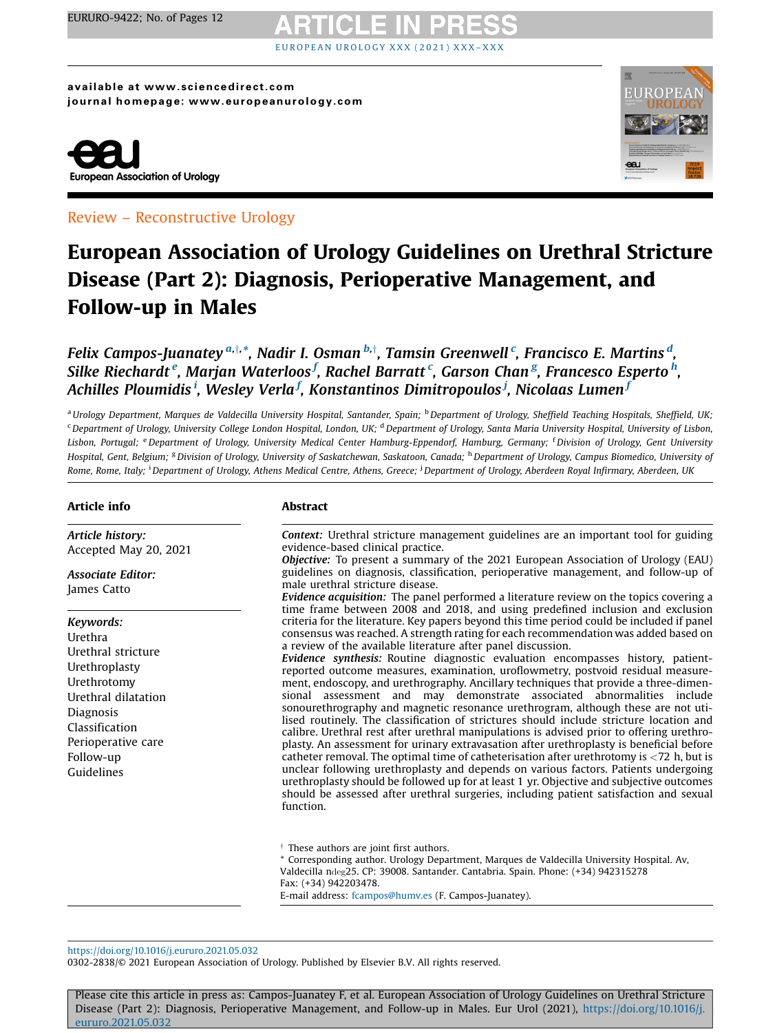# EUROPEA[N](https://doi.org/10.1016/j.eururo.2021.05.032) UROLOGY XXX (2021) XXX-XXX

available at www.sciencedirect.com journal homepage: www.europeanurology.com



Review – Reconstructive Urology

## European Association of Urology Guidelines on Urethral Stricture Disease (Part 2): Diagnosis, Perioperative Management, and Follow-up in Males

Felix Campos-Juanatey  $^{a, \dagger, \ast}$ , Nadir I. Osman  $^{b, \dagger}$ , Tamsin Greenwell  $^c$ , Francisco E. Martins  $^d$ , Silke Riechardt <sup>e</sup>, Marjan Waterloos <sup>f</sup>, Rachel Barratt <sup>c</sup>, Garson Chan <sup>g</sup>, Francesco Esperto <sup>h</sup>, Achilles Ploumidis <sup>i</sup>, Wesley Verla <sup>f</sup>, Konstantinos Dimitropoulos <sup>j</sup>, Nicolaas Lumen <sup>j</sup>

<sup>a</sup> Urology Department, Marques de Valdecilla University Hospital, Santander, Spain; <sup>b</sup> Department of Urology, Sheffield Teaching Hospitals, Sheffield, UK; <sup>c</sup> Department of Urology, University College London Hospital, London, UK; <sup>d</sup> Department of Urology, Santa Maria University Hospital, University of Lisbon, Lisbon, Portugal; <sup>e</sup> Department of Urology, University Medical Center Hamburg-Eppendorf, Hamburg, Germany; <sup>f</sup> Division of Urology, Gent University Hospital, Gent, Belgium; <sup>g</sup> Division of Urology, University of Saskatchewan, Saskatoon, Canada; <sup>h</sup> Department of Urology, Campus Biomedico, University of Rome, Rome, Italy; <sup>i</sup> Department of Urology, Athens Medical Centre, Athens, Greece; <sup>i</sup> Department of Urology, Aberdeen Royal Infirmary, Aberdeen, UK

### Article info

Article history: Accepted May 20, 2021

Associate Editor: James Catto

### Keywords:

Urethra Urethral stricture Urethroplasty Urethrotomy Urethral dilatation Diagnosis Classification Perioperative care Follow-up Guidelines

### Abstract

Context: Urethral stricture management guidelines are an important tool for guiding evidence-based clinical practice.

Objective: To present a summary of the 2021 European Association of Urology (EAU) guidelines on diagnosis, classification, perioperative management, and follow-up of male urethral stricture disease.

Evidence acquisition: The panel performed a literature review on the topics covering a time frame between 2008 and 2018, and using predefined inclusion and exclusion criteria for the literature. Key papers beyond this time period could be included if panel consensus was reached. A strength rating for each recommendation was added based on a review of the available literature after panel discussion.

Evidence synthesis: Routine diagnostic evaluation encompasses history, patientreported outcome measures, examination, uroflowmetry, postvoid residual measurement, endoscopy, and urethrography. Ancillary techniques that provide a three-dimensional assessment and may demonstrate associated abnormalities include sonourethrography and magnetic resonance urethrogram, although these are not utilised routinely. The classification of strictures should include stricture location and calibre. Urethral rest after urethral manipulations is advised prior to offering urethroplasty. An assessment for urinary extravasation after urethroplasty is beneficial before catheter removal. The optimal time of catheterisation after urethrotomy is  $\langle 72 \rangle$  h, but is unclear following urethroplasty and depends on various factors. Patients undergoing urethroplasty should be followed up for at least 1 yr. Objective and subjective outcomes should be assessed after urethral surgeries, including patient satisfaction and sexual function.

 $\dagger$  These authors are joint first authors.

\* Corresponding author. Urology Department, Marques de Valdecilla University Hospital. Av, Valdecilla ndeg25. CP: 39008. Santander. Cantabria. Spain. Phone: (+34) 942315278 Fax: (+34) 942203478.

E-mail address: [fcampos@humv.es](mailto:fcampos@humv.es) (F. Campos-Juanatey).

<https://doi.org/10.1016/j.eururo.2021.05.032>

0302-2838/© 2021 European Association of Urology. Published by Elsevier B.V. All rights reserved.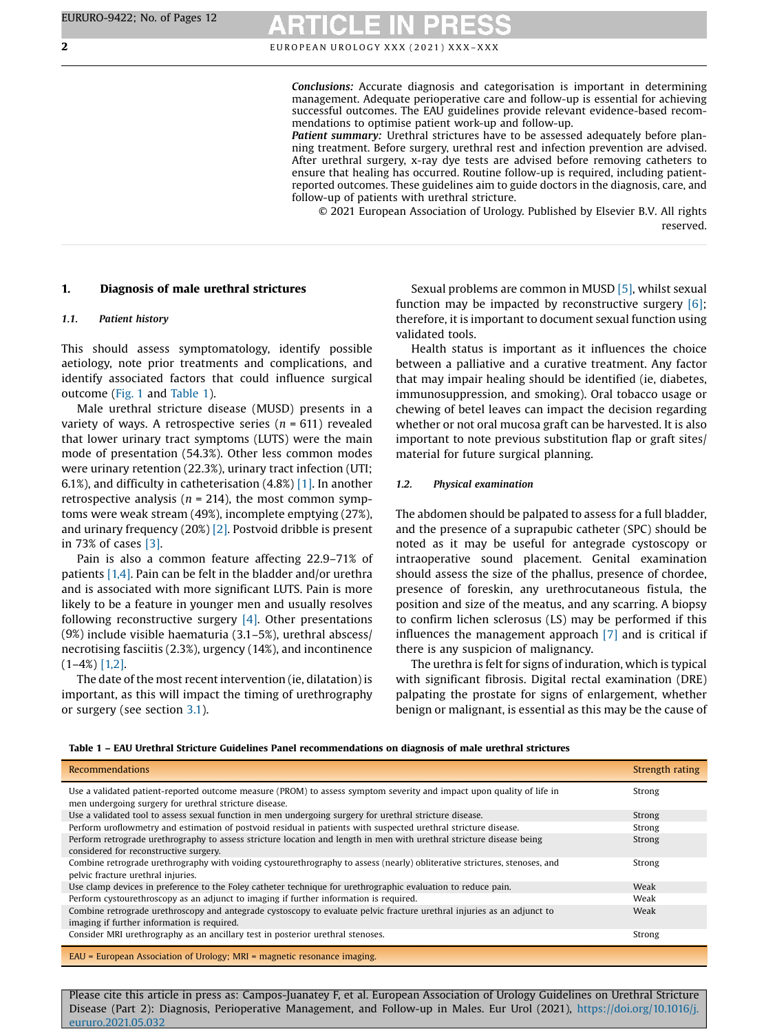Conclusions: Accurate diagnosis and categorisation is important in determining management. Adequate perioperative care and follow-up is essential for achieving successful outcomes. The EAU guidelines provide relevant evidence-based recommendations to optimise patient work-up and follow-up.

Patient summary: Urethral strictures have to be assessed adequately before planning treatment. Before surgery, urethral rest and infection prevention are advised. After urethral surgery, x-ray dye tests are advised before removing catheters to ensure that healing has occurred. Routine follow-up is required, including patientreported outcomes. These guidelines aim to guide doctors in the diagnosis, care, and follow-up of patients with urethral stricture.

© 2021 European Association of Urology. Published by Elsevier B.V. All rights reserved.

### <span id="page-1-0"></span>1. Diagnosis of male urethral strictures

### 1.1. Patient history

This should assess symptomatology, identify possible aetiology, note prior treatments and complications, and identify associated factors that could influence surgical outcome [\(Fig.](#page-2-0) 1 and Table 1).

Male urethral stricture disease (MUSD) presents in a variety of ways. A retrospective series ( $n = 611$ ) revealed that lower urinary tract symptoms (LUTS) were the main mode of presentation (54.3%). Other less common modes were urinary retention (22.3%), urinary tract infection (UTI; 6.1%), and difficulty in catheterisation (4.8%) [\[1\].](#page-9-0) In another retrospective analysis ( $n = 214$ ), the most common symptoms were weak stream (49%), incomplete emptying (27%), and urinary frequency (20%) [\[2\].](#page-9-0) Postvoid dribble is present in 73% of cases [\[3\]](#page-10-0).

Pain is also a common feature affecting 22.9–71% of patients [\[1,4\]](#page-9-0). Pain can be felt in the bladder and/or urethra and is associated with more significant LUTS. Pain is more likely to be a feature in younger men and usually resolves following reconstructive surgery [\[4\].](#page-10-0) Other presentations (9%) include visible haematuria (3.1–5%), urethral abscess/ necrotising fasciitis (2.3%), urgency (14%), and incontinence  $(1-4%)$  [\[1,2\]](#page-9-0).

The date of the most recent intervention (ie, dilatation) is important, as this will impact the timing of urethrography or surgery (see section [3.1](#page-4-0)).

Sexual problems are common in MUSD [\[5\]](#page-10-0), whilst sexual function may be impacted by reconstructive surgery  $[6]$ ; therefore, it is important to document sexual function using validated tools.

Health status is important as it influences the choice between a palliative and a curative treatment. Any factor that may impair healing should be identified (ie, diabetes, immunosuppression, and smoking). Oral tobacco usage or chewing of betel leaves can impact the decision regarding whether or not oral mucosa graft can be harvested. It is also important to note previous substitution flap or graft sites/ material for future surgical planning.

### 1.2. Physical examination

The abdomen should be palpated to assess for a full bladder, and the presence of a suprapubic catheter (SPC) should be noted as it may be useful for antegrade cystoscopy or intraoperative sound placement. Genital examination should assess the size of the phallus, presence of chordee, presence of foreskin, any urethrocutaneous fistula, the position and size of the meatus, and any scarring. A biopsy to confirm lichen sclerosus (LS) may be performed if this influences the management approach [\[7\]](#page-10-0) and is critical if there is any suspicion of malignancy.

The urethra is felt for signs of induration, which is typical with significant fibrosis. Digital rectal examination (DRE) palpating the prostate for signs of enlargement, whether benign or malignant, is essential as this may be the cause of

| Recommendations                                                                                                                                                                 | Strength rating |
|---------------------------------------------------------------------------------------------------------------------------------------------------------------------------------|-----------------|
| Use a validated patient-reported outcome measure (PROM) to assess symptom severity and impact upon quality of life in<br>men undergoing surgery for urethral stricture disease. | Strong          |
| Use a validated tool to assess sexual function in men undergoing surgery for urethral stricture disease.                                                                        | Strong          |
| Perform uroflowmetry and estimation of postvoid residual in patients with suspected urethral stricture disease.                                                                 | Strong          |
| Perform retrograde urethrography to assess stricture location and length in men with urethral stricture disease being<br>considered for reconstructive surgery.                 | Strong          |
| Combine retrograde urethrography with voiding cystourethrography to assess (nearly) obliterative strictures, stenoses, and<br>pelvic fracture urethral injuries.                | Strong          |
| Use clamp devices in preference to the Foley catheter technique for urethrographic evaluation to reduce pain.                                                                   | Weak            |
| Perform cystourethroscopy as an adjunct to imaging if further information is required.                                                                                          | Weak            |
| Combine retrograde urethroscopy and antegrade cystoscopy to evaluate pelvic fracture urethral injuries as an adjunct to<br>imaging if further information is required.          | Weak            |
| Consider MRI urethrography as an ancillary test in posterior urethral stenoses.                                                                                                 | Strong          |
| $EAU = European Association of Urology$ ; $MRI = magnetic resonance imaging$ .                                                                                                  |                 |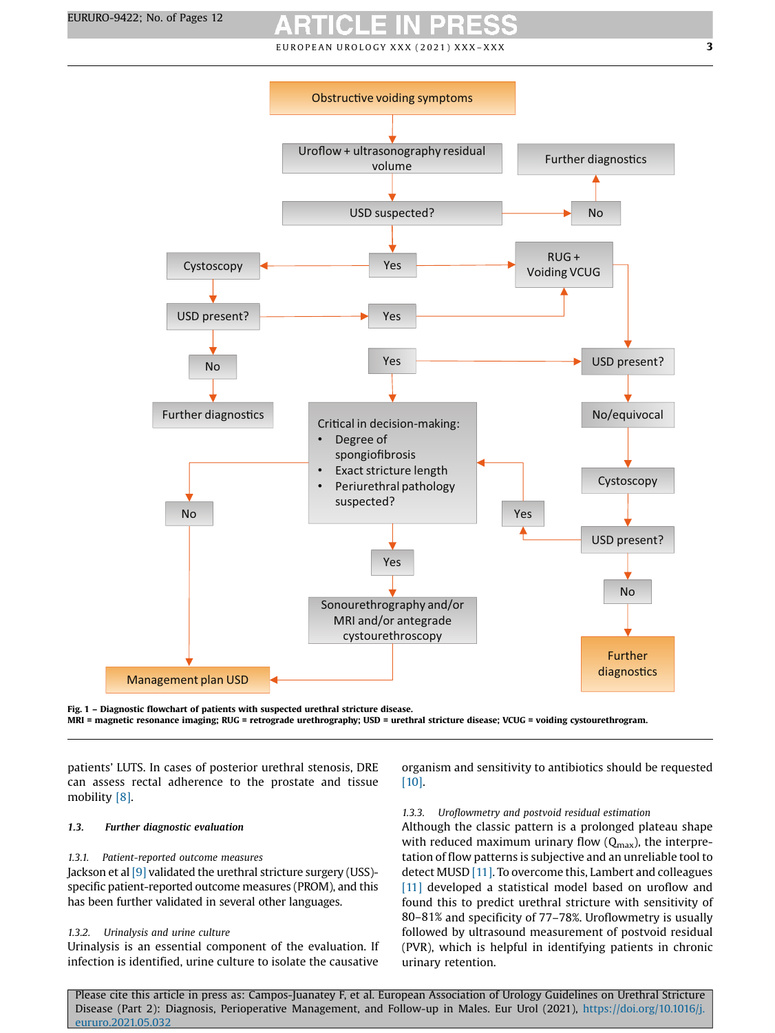<span id="page-2-0"></span>

Fig. 1 – Diagnostic flowchart of patients with suspected urethral stricture disease. MRI = magnetic resonance imaging; RUG = retrograde urethrography; USD = urethral stricture disease; VCUG = voiding cystourethrogram.

patients' LUTS. In cases of posterior urethral stenosis, DRE can assess rectal adherence to the prostate and tissue mobility [\[8\].](#page-10-0)

### 1.3. Further diagnostic evaluation

### 1.3.1. Patient-reported outcome measures

Jackson et al <a>[\[9\]](#page-10-0)</a> validated the urethral stricture surgery (USS)specific patient-reported outcome measures (PROM), and this has been further validated in several other languages.

### 1.3.2. Urinalysis and urine culture

Urinalysis is an essential component of the evaluation. If infection is identified, urine culture to isolate the causative

organism and sensitivity to antibiotics should be requested [\[10\].](#page-10-0)

### 1.3.3. Uroflowmetry and postvoid residual estimation

Although the classic pattern is a prolonged plateau shape with reduced maximum urinary flow  $(Q<sub>max</sub>)$ , the interpretation of flow patterns is subjective and an unreliable tool to detect MUSD [\[11\]](#page-10-0). To overcome this, Lambert and colleagues [\[11\]](#page-10-0) developed a statistical model based on uroflow and found this to predict urethral stricture with sensitivity of 80–81% and specificity of 77–78%. Uroflowmetry is usually followed by ultrasound measurement of postvoid residual (PVR), which is helpful in identifying patients in chronic urinary retention.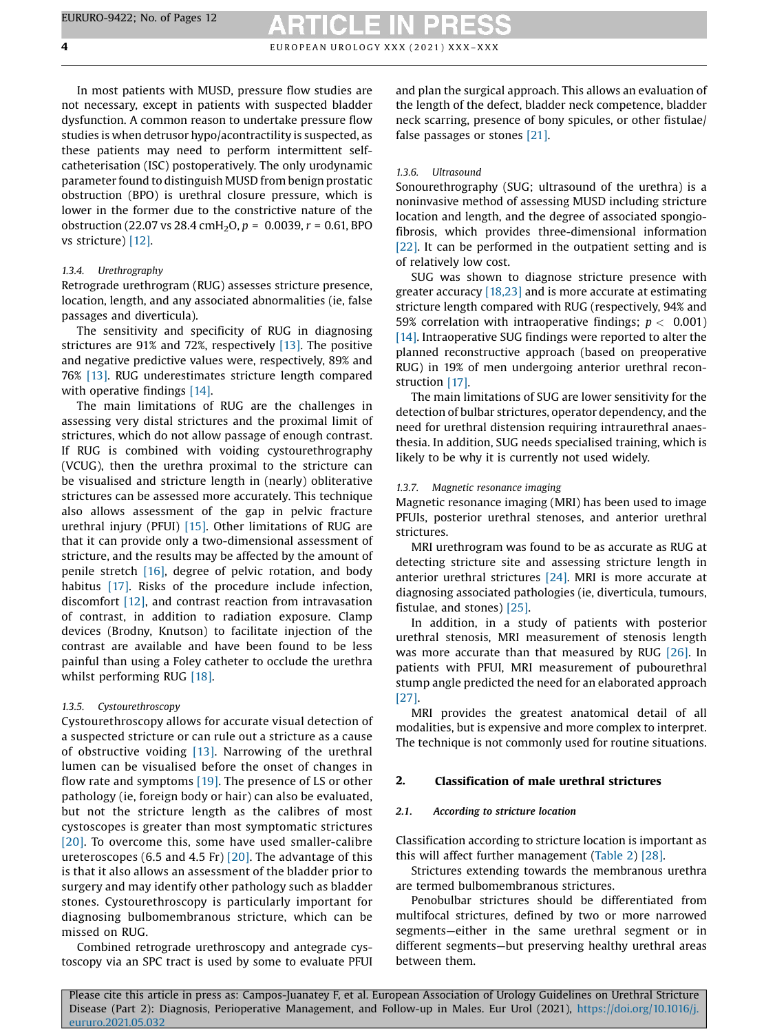In most patients with MUSD, pressure flow studies are not necessary, except in patients with suspected bladder dysfunction. A common reason to undertake pressure flow studies is when detrusor hypo/acontractility is suspected, as these patients may need to perform intermittent selfcatheterisation (ISC) postoperatively. The only urodynamic parameter found to distinguish MUSD from benign prostatic obstruction (BPO) is urethral closure pressure, which is lower in the former due to the constrictive nature of the obstruction (22.07 vs 28.4 cmH<sub>2</sub>O,  $p = 0.0039$ ,  $r = 0.61$ , BPO vs stricture) [\[12\].](#page-10-0)

### 1.3.4. Urethrography

Retrograde urethrogram (RUG) assesses stricture presence, location, length, and any associated abnormalities (ie, false passages and diverticula).

The sensitivity and specificity of RUG in diagnosing strictures are 91% and 72%, respectively [\[13\].](#page-10-0) The positive and negative predictive values were, respectively, 89% and 76% [\[13\].](#page-10-0) RUG underestimates stricture length compared with operative findings [\[14\].](#page-10-0)

The main limitations of RUG are the challenges in assessing very distal strictures and the proximal limit of strictures, which do not allow passage of enough contrast. If RUG is combined with voiding cystourethrography (VCUG), then the urethra proximal to the stricture can be visualised and stricture length in (nearly) obliterative strictures can be assessed more accurately. This technique also allows assessment of the gap in pelvic fracture urethral injury (PFUI) [\[15\]](#page-10-0). Other limitations of RUG are that it can provide only a two-dimensional assessment of stricture, and the results may be affected by the amount of penile stretch [\[16\],](#page-10-0) degree of pelvic rotation, and body habitus [\[17\]](#page-10-0). Risks of the procedure include infection, discomfort [\[12\],](#page-10-0) and contrast reaction from intravasation of contrast, in addition to radiation exposure. Clamp devices (Brodny, Knutson) to facilitate injection of the contrast are available and have been found to be less painful than using a Foley catheter to occlude the urethra whilst performing RUG [\[18\].](#page-10-0)

### 1.3.5. Cystourethroscopy

Cystourethroscopy allows for accurate visual detection of a suspected stricture or can rule out a stricture as a cause of obstructive voiding [\[13\].](#page-10-0) Narrowing of the urethral lumen can be visualised before the onset of changes in flow rate and symptoms  $[19]$ . The presence of LS or other pathology (ie, foreign body or hair) can also be evaluated, but not the stricture length as the calibres of most cystoscopes is greater than most symptomatic strictures [\[20\]](#page-10-0). To overcome this, some have used smaller-calibre ureteroscopes (6.5 and 4.5 Fr) [\[20\].](#page-10-0) The advantage of this is that it also allows an assessment of the bladder prior to surgery and may identify other pathology such as bladder stones. Cystourethroscopy is particularly important for diagnosing bulbomembranous stricture, which can be missed on RUG.

Combined retrograde urethroscopy and antegrade cystoscopy via an SPC tract is used by some to evaluate PFUI and plan the surgical approach. This allows an evaluation of the length of the defect, bladder neck competence, bladder neck scarring, presence of bony spicules, or other fistulae/ false passages or stones [\[21\]](#page-10-0).

### 1.3.6. Ultrasound

Sonourethrography (SUG; ultrasound of the urethra) is a noninvasive method of assessing MUSD including stricture location and length, and the degree of associated spongiofibrosis, which provides three-dimensional information [\[22\].](#page-10-0) It can be performed in the outpatient setting and is of relatively low cost.

SUG was shown to diagnose stricture presence with greater accuracy [\[18,23\]](#page-10-0) and is more accurate at estimating stricture length compared with RUG (respectively, 94% and 59% correlation with intraoperative findings;  $p < 0.001$ ) [\[14\]](#page-10-0). Intraoperative SUG findings were reported to alter the planned reconstructive approach (based on preoperative RUG) in 19% of men undergoing anterior urethral reconstruction [\[17\].](#page-10-0)

The main limitations of SUG are lower sensitivity for the detection of bulbar strictures, operator dependency, and the need for urethral distension requiring intraurethral anaesthesia. In addition, SUG needs specialised training, which is likely to be why it is currently not used widely.

### 1.3.7. Magnetic resonance imaging

Magnetic resonance imaging (MRI) has been used to image PFUIs, posterior urethral stenoses, and anterior urethral strictures.

MRI urethrogram was found to be as accurate as RUG at detecting stricture site and assessing stricture length in anterior urethral strictures [\[24\].](#page-10-0) MRI is more accurate at diagnosing associated pathologies (ie, diverticula, tumours, fistulae, and stones) [\[25\]](#page-10-0).

In addition, in a study of patients with posterior urethral stenosis, MRI measurement of stenosis length was more accurate than that measured by RUG [\[26\]](#page-10-0). In patients with PFUI, MRI measurement of pubourethral stump angle predicted the need for an elaborated approach [\[27\].](#page-10-0)

MRI provides the greatest anatomical detail of all modalities, but is expensive and more complex to interpret. The technique is not commonly used for routine situations.

### 2. Classification of male urethral strictures

### 2.1. According to stricture location

Classification according to stricture location is important as this will affect further management ([Table](#page-4-0) 2) [\[28\].](#page-10-0)

Strictures extending towards the membranous urethra are termed bulbomembranous strictures.

Penobulbar strictures should be differentiated from multifocal strictures, defined by two or more narrowed segments—either in the same urethral segment or in different segments—but preserving healthy urethral areas between them.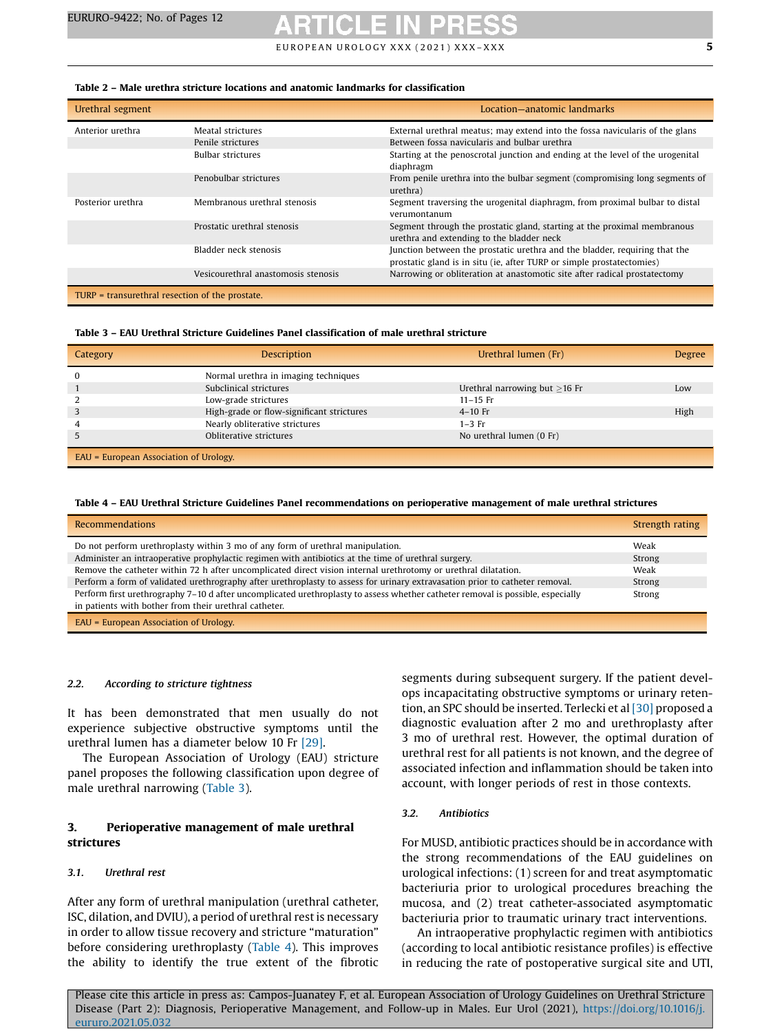### <span id="page-4-0"></span>Table 2 – Male urethra stricture locations and anatomic landmarks for classification

| Urethral segment                                |                                     | Location-anatomic landmarks                                                                                                                         |
|-------------------------------------------------|-------------------------------------|-----------------------------------------------------------------------------------------------------------------------------------------------------|
| Anterior urethra                                | Meatal strictures                   | External urethral meatus; may extend into the fossa navicularis of the glans                                                                        |
|                                                 | Penile strictures                   | Between fossa navicularis and bulbar urethra                                                                                                        |
|                                                 | <b>Bulbar strictures</b>            | Starting at the penoscrotal junction and ending at the level of the urogenital<br>diaphragm                                                         |
|                                                 | Penobulbar strictures               | From penile urethra into the bulbar segment (compromising long segments of<br>urethra)                                                              |
| Posterior urethra                               | Membranous urethral stenosis        | Segment traversing the urogenital diaphragm, from proximal bulbar to distal<br>verumontanum                                                         |
|                                                 | Prostatic urethral stenosis         | Segment through the prostatic gland, starting at the proximal membranous<br>urethra and extending to the bladder neck                               |
|                                                 | Bladder neck stenosis               | Junction between the prostatic urethra and the bladder, requiring that the<br>prostatic gland is in situ (ie, after TURP or simple prostatectomies) |
|                                                 | Vesicourethral anastomosis stenosis | Narrowing or obliteration at anastomotic site after radical prostatectomy                                                                           |
| TURP = transurethral resection of the prostate. |                                     |                                                                                                                                                     |

### Table 3 – EAU Urethral Stricture Guidelines Panel classification of male urethral stricture

| Category                               | <b>Description</b>                        | Urethral lumen (Fr)                 | <b>Degree</b> |
|----------------------------------------|-------------------------------------------|-------------------------------------|---------------|
|                                        | Normal urethra in imaging techniques      |                                     |               |
|                                        | Subclinical strictures                    | Urethral narrowing but $\geq$ 16 Fr | Low           |
|                                        | Low-grade strictures                      | $11 - 15$ Fr                        |               |
|                                        | High-grade or flow-significant strictures | $4-10$ Fr                           | High          |
|                                        | Nearly obliterative strictures            | $1-3$ Fr                            |               |
|                                        | Obliterative strictures                   | No urethral lumen (0 Fr)            |               |
| EAU = European Association of Urology. |                                           |                                     |               |

### Table 4 – EAU Urethral Stricture Guidelines Panel recommendations on perioperative management of male urethral strictures

| <b>Recommendations</b>                                                                                                                                                                   | Strength rating |
|------------------------------------------------------------------------------------------------------------------------------------------------------------------------------------------|-----------------|
| Do not perform urethroplasty within 3 mo of any form of urethral manipulation.                                                                                                           | Weak            |
| Administer an intraoperative prophylactic regimen with antibiotics at the time of urethral surgery.                                                                                      | Strong          |
| Remove the catheter within 72 h after uncomplicated direct vision internal urethrotomy or urethral dilatation.                                                                           | Weak            |
| Perform a form of validated urethrography after urethroplasty to assess for urinary extravasation prior to catheter removal.                                                             | Strong          |
| Perform first urethrography 7–10 d after uncomplicated urethroplasty to assess whether catheter removal is possible, especially<br>in patients with bother from their urethral catheter. | Strong          |
| EAU = European Association of Urology.                                                                                                                                                   |                 |

### 2.2. According to stricture tightness

It has been demonstrated that men usually do not experience subjective obstructive symptoms until the urethral lumen has a diameter below 10 Fr [\[29\]](#page-10-0).

The European Association of Urology (EAU) stricture panel proposes the following classification upon degree of male urethral narrowing (Table 3).

### 3. Perioperative management of male urethral strictures

### 3.1. Urethral rest

After any form of urethral manipulation (urethral catheter, ISC, dilation, and DVIU), a period of urethral restis necessary in order to allow tissue recovery and stricture "maturation" before considering urethroplasty (Table 4). This improves the ability to identify the true extent of the fibrotic segments during subsequent surgery. If the patient develops incapacitating obstructive symptoms or urinary retention, an SPC should be inserted. Terlecki et al [\[30\]](#page-10-0) proposed a diagnostic evaluation after 2 mo and urethroplasty after 3 mo of urethral rest. However, the optimal duration of urethral rest for all patients is not known, and the degree of associated infection and inflammation should be taken into account, with longer periods of rest in those contexts.

### 3.2. Antibiotics

For MUSD, antibiotic practices should be in accordance with the strong recommendations of the EAU guidelines on urological infections: (1) screen for and treat asymptomatic bacteriuria prior to urological procedures breaching the mucosa, and (2) treat catheter-associated asymptomatic bacteriuria prior to traumatic urinary tract interventions.

An intraoperative prophylactic regimen with antibiotics (according to local antibiotic resistance profiles) is effective in reducing the rate of postoperative surgical site and UTI,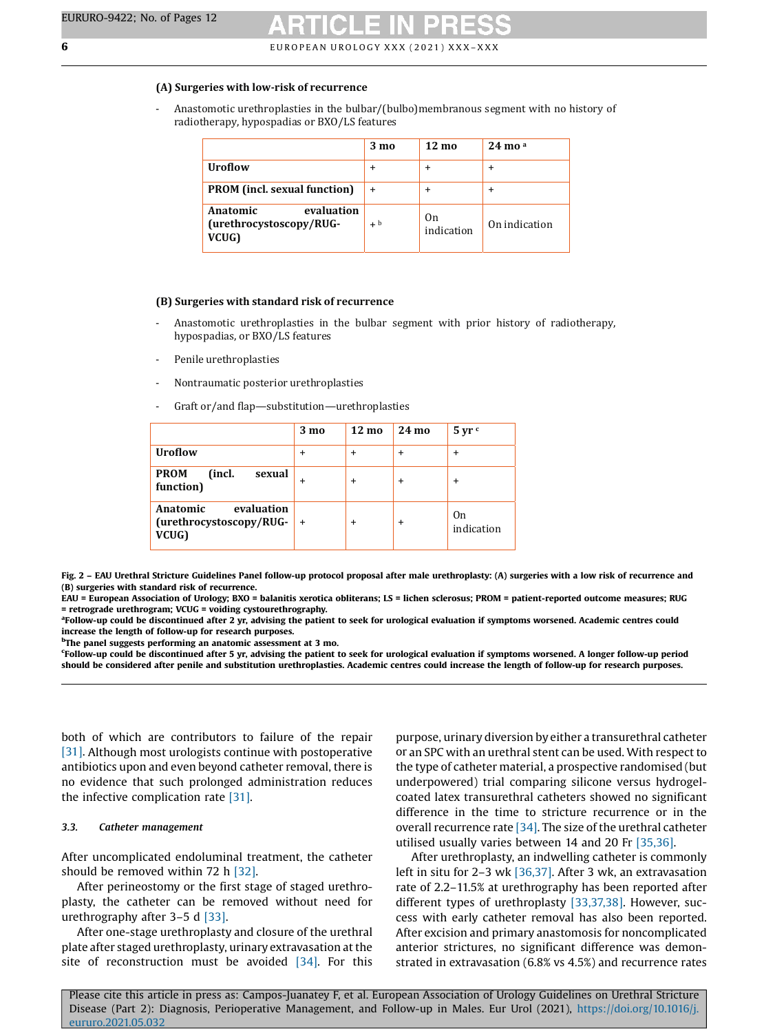### <span id="page-5-0"></span>**(A) Surgeries with low-risk of recurrence**

- Anastomotic urethroplasties in the bulbar/(bulbo)membranous segment with no history of radiotherapy, hypospadias or BXO/LS features

|                                                            | $3 \text{ mo}$ | $12 \text{ ma}$              | $24 \text{ mo}$ <sup>a</sup> |
|------------------------------------------------------------|----------------|------------------------------|------------------------------|
| <b>Uroflow</b>                                             | ÷              | +                            |                              |
| <b>PROM</b> (incl. sexual function)                        |                | +                            |                              |
| evaluation<br>Anatomic<br>(urethrocystoscopy/RUG-<br>VCUG) | $+ b$          | 0 <sub>n</sub><br>indication | On indication                |

### **(B) Surgeries with standard risk of recurrence**

- Anastomotic urethroplasties in the bulbar segment with prior history of radiotherapy, hypospadias, or BXO/LS features
- Penile urethroplasties
- Nontraumatic posterior urethroplasties
- Graft or/and flap—substitution—urethroplasties

|                                                                | $3 \text{ mo}$ | $12 \text{ mo}$ | 24 mo     | $5 \,\mathrm{yr}$ c |
|----------------------------------------------------------------|----------------|-----------------|-----------|---------------------|
| <b>Uroflow</b>                                                 | +              | +               | +         | +                   |
| <b>PROM</b><br>(incl.<br>sexual<br>function)                   | $\ddot{}$      | $\ddot{}$       | +         | $\ddot{}$           |
| evaluation<br>Anatomic<br>$(urethrocystoscopy/RUG-$ +<br>VCUG) |                | $\ddot{}$       | $\ddot{}$ | 0n<br>indication    |

Fig. 2 – EAU Urethral Stricture Guidelines Panel follow-up protocol proposal after male urethroplasty: (A) surgeries with a low risk of recurrence and (B) surgeries with standard risk of recurrence.

EAU = European Association of Urology; BXO = balanitis xerotica obliterans; LS = lichen sclerosus; PROM = patient-reported outcome measures; RUG = retrograde urethrogram; VCUG = voiding cystourethrography.

<sup>a</sup>Follow-up could be discontinued after 2 yr, advising the patient to seek for urological evaluation if symptoms worsened. Academic centres could increase the length of follow-up for research purposes.

<sup>b</sup>The panel suggests performing an anatomic assessment at 3 mo.

c Follow-up could be discontinued after 5 yr, advising the patient to seek for urological evaluation if symptoms worsened. A longer follow-up period should be considered after penile and substitution urethroplasties. Academic centres could increase the length of follow-up for research purposes.

both of which are contributors to failure of the repair [\[31\]](#page-10-0). Although most urologists continue with postoperative antibiotics upon and even beyond catheter removal, there is no evidence that such prolonged administration reduces the infective complication rate [\[31\]](#page-10-0).

### 3.3. Catheter management

After uncomplicated endoluminal treatment, the catheter should be removed within 72 h [\[32\]](#page-10-0).

After perineostomy or the first stage of staged urethroplasty, the catheter can be removed without need for urethrography after 3–5 d [\[33\]](#page-10-0).

After one-stage urethroplasty and closure of the urethral plate after staged urethroplasty, urinary extravasation at the site of reconstruction must be avoided [\[34\]](#page-10-0). For this purpose, urinary diversion by either a transurethral catheter or an SPC with an urethral stent can be used. With respect to the type of catheter material, a prospective randomised (but underpowered) trial comparing silicone versus hydrogelcoated latex transurethral catheters showed no significant difference in the time to stricture recurrence or in the overall recurrence rate [\[34\]](#page-10-0). The size of the urethral catheter utilised usually varies between 14 and 20 Fr [\[35,36\].](#page-10-0)

After urethroplasty, an indwelling catheter is commonly left in situ for 2–3 wk [\[36,37\]](#page-10-0). After 3 wk, an extravasation rate of 2.2–11.5% at urethrography has been reported after different types of urethroplasty [\[33,37,38\].](#page-10-0) However, success with early catheter removal has also been reported. After excision and primary anastomosis for noncomplicated anterior strictures, no significant difference was demonstrated in extravasation (6.8% vs 4.5%) and recurrence rates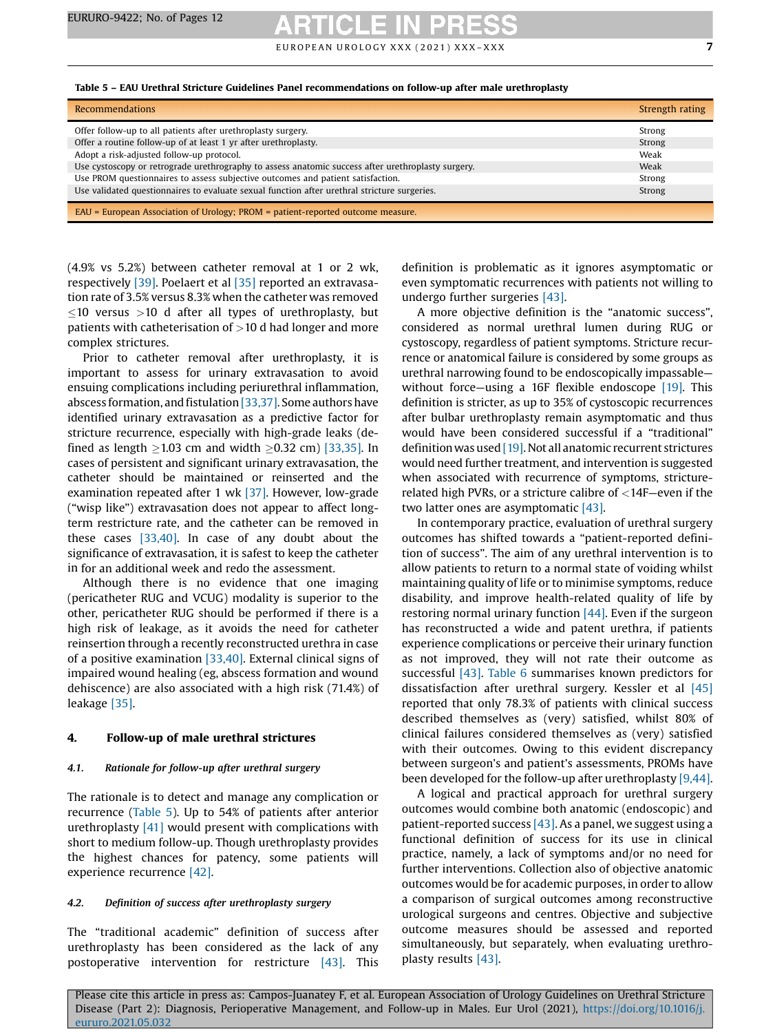E U RO PEAN UROLOGY XXX (2021) XXX-XXX THE CONSTRUCT ON THE CONSTRUCT OF THE CONSTRUCTION OF THE CONSTRUCT OF T

### Table 5 – EAU Urethral Stricture Guidelines Panel recommendations on follow-up after male urethroplasty

| <b>Recommendations</b>                                                                             | Strength rating |
|----------------------------------------------------------------------------------------------------|-----------------|
| Offer follow-up to all patients after urethroplasty surgery.                                       | Strong          |
| Offer a routine follow-up of at least 1 yr after urethroplasty.                                    | Strong          |
| Adopt a risk-adjusted follow-up protocol.                                                          | Weak            |
| Use cystoscopy or retrograde urethrography to assess anatomic success after urethroplasty surgery. | Weak            |
| Use PROM questionnaires to assess subjective outcomes and patient satisfaction.                    | Strong          |
| Use validated questionnaires to evaluate sexual function after urethral stricture surgeries.       | Strong          |
| EAU = European Association of Urology; PROM = patient-reported outcome measure.                    |                 |

(4.9% vs 5.2%) between catheter removal at 1 or 2 wk, respectively [\[39\].](#page-10-0) Poelaert et al [\[35\]](#page-10-0) reported an extravasation rate of 3.5% versus 8.3% when the catheter was removed  $10$  versus  $>10$  d after all types of urethroplasty, but patients with catheterisation of  $>$ 10 d had longer and more complex strictures.

Prior to catheter removal after urethroplasty, it is important to assess for urinary extravasation to avoid ensuing complications including periurethral inflammation, abscess formation, and fistulation [\[33,37\]](#page-10-0). Some authors have identified urinary extravasation as a predictive factor for stricture recurrence, especially with high-grade leaks (defined as length  $\geq$ 1.03 cm and width  $\geq$ 0.32 cm) [\[33,35\].](#page-10-0) In cases of persistent and significant urinary extravasation, the catheter should be maintained or reinserted and the examination repeated after 1 wk [\[37\]](#page-10-0). However, low-grade ("wisp like") extravasation does not appear to affect longterm restricture rate, and the catheter can be removed in these cases [\[33,40\].](#page-10-0) In case of any doubt about the significance of extravasation, it is safest to keep the catheter in for an additional week and redo the assessment.

Although there is no evidence that one imaging (pericatheter RUG and VCUG) modality is superior to the other, pericatheter RUG should be performed if there is a high risk of leakage, as it avoids the need for catheter reinsertion through a recently reconstructed urethra in case of a positive examination [\[33,40\].](#page-10-0) External clinical signs of impaired wound healing (eg, abscess formation and wound dehiscence) are also associated with a high risk (71.4%) of leakage [\[35\].](#page-10-0)

### 4. Follow-up of male urethral strictures

### 4.1. Rationale for follow-up after urethral surgery

The rationale is to detect and manage any complication or recurrence (Table 5). Up to 54% of patients after anterior urethroplasty [\[41\]](#page-10-0) would present with complications with short to medium follow-up. Though urethroplasty provides the highest chances for patency, some patients will experience recurrence [\[42\]](#page-10-0).

### 4.2. Definition of success after urethroplasty surgery

The "traditional academic" definition of success after urethroplasty has been considered as the lack of any postoperative intervention for restricture [\[43\]](#page-11-0). This

definition is problematic as it ignores asymptomatic or even symptomatic recurrences with patients not willing to undergo further surgeries [\[43\].](#page-11-0)

A more objective definition is the "anatomic success", considered as normal urethral lumen during RUG or cystoscopy, regardless of patient symptoms. Stricture recurrence or anatomical failure is considered by some groups as urethral narrowing found to be endoscopically impassable— without force—using a 16F flexible endoscope [\[19\].](#page-10-0) This definition is stricter, as up to 35% of cystoscopic recurrences after bulbar urethroplasty remain asymptomatic and thus would have been considered successful if a "traditional" definition was used [\[19\]](#page-10-0). Not all anatomic recurrent strictures would need further treatment, and intervention is suggested when associated with recurrence of symptoms, stricturerelated high PVRs, or a stricture calibre of <14F—even if the two latter ones are asymptomatic [\[43\].](#page-11-0)

In contemporary practice, evaluation of urethral surgery outcomes has shifted towards a "patient-reported definition of success". The aim of any urethral intervention is to allow patients to return to a normal state of voiding whilst maintaining quality of life or to minimise symptoms, reduce disability, and improve health-related quality of life by restoring normal urinary function [\[44\]](#page-11-0). Even if the surgeon has reconstructed a wide and patent urethra, if patients experience complications or perceive their urinary function as not improved, they will not rate their outcome as successful [\[43\].](#page-11-0) [Table](#page-8-0) 6 summarises known predictors for dissatisfaction after urethral surgery. Kessler et al [\[45\]](#page-11-0) reported that only 78.3% of patients with clinical success described themselves as (very) satisfied, whilst 80% of clinical failures considered themselves as (very) satisfied with their outcomes. Owing to this evident discrepancy between surgeon's and patient's assessments, PROMs have been developed for the follow-up after urethroplasty [\[9,44\].](#page-10-0)

A logical and practical approach for urethral surgery outcomes would combine both anatomic (endoscopic) and patient-reported success  $[43]$ . As a panel, we suggest using a functional definition of success for its use in clinical practice, namely, a lack of symptoms and/or no need for further interventions. Collection also of objective anatomic outcomes would be for academic purposes, in order to allow a comparison of surgical outcomes among reconstructive urological surgeons and centres. Objective and subjective outcome measures should be assessed and reported simultaneously, but separately, when evaluating urethroplasty results [\[43\]](#page-11-0).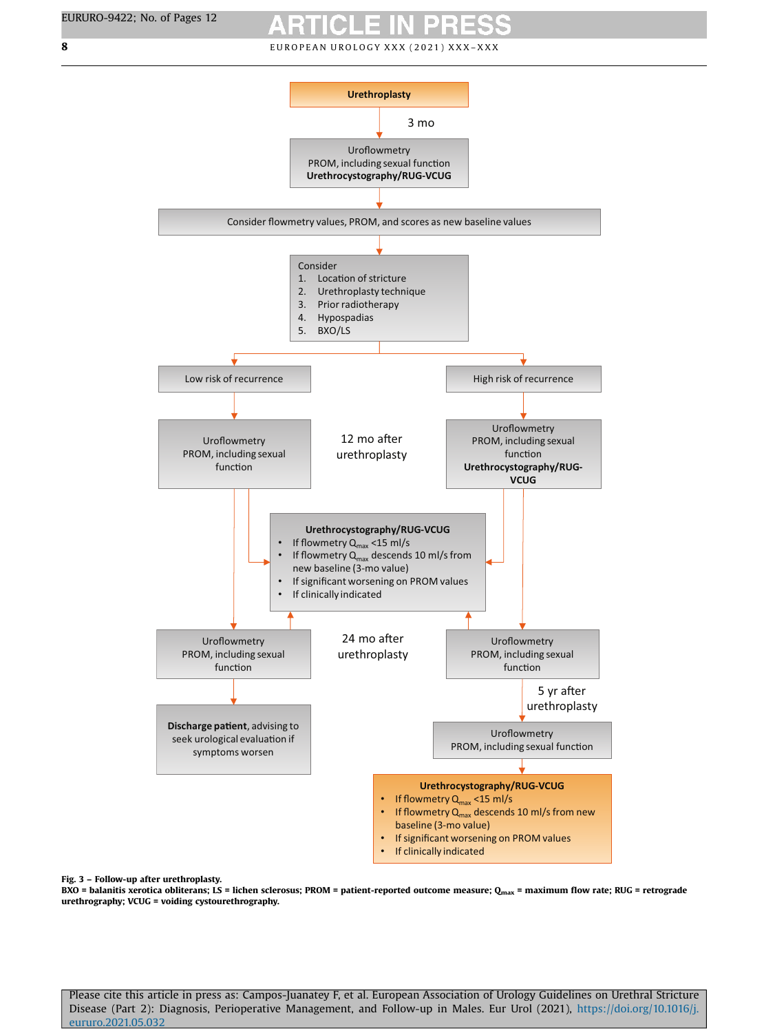

### Fig. 3 – Follow-up after urethroplasty.

BXO = balanitis xerotica obliterans; LS = lichen sclerosus; PROM = patient-reported outcome measure; Q<sub>max</sub> = maximum flow rate; RUG = retrograde urethrography; VCUG = voiding cystourethrography.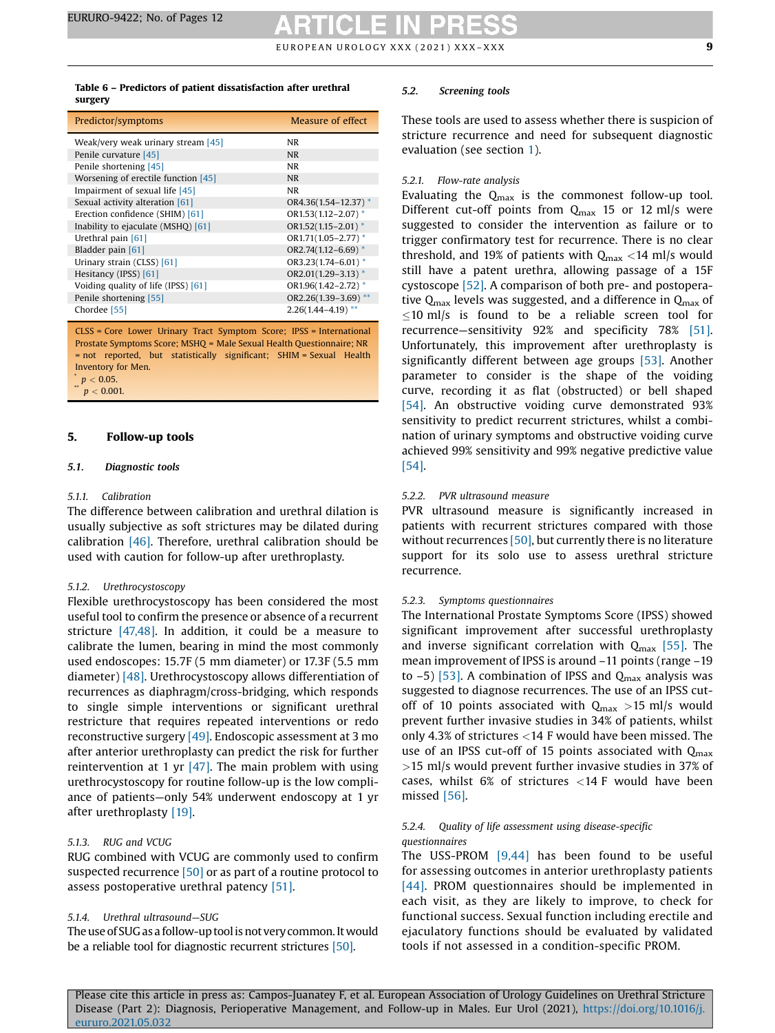### <span id="page-8-0"></span>Table 6 – Predictors of patient dissatisfaction after urethral surgery

| Predictor/symptoms                  | Measure of effect        |
|-------------------------------------|--------------------------|
| Weak/very weak urinary stream [45]  | NR.                      |
| Penile curvature [45]               | <b>NR</b>                |
| Penile shortening [45]              | <b>NR</b>                |
| Worsening of erectile function [45] | <b>NR</b>                |
| Impairment of sexual life [45]      | NR.                      |
| Sexual activity alteration [61]     | $OR4.36(1.54 - 12.37)$ * |
| Erection confidence (SHIM) [61]     | OR1.53(1.12-2.07)*       |
| Inability to ejaculate (MSHQ) [61]  | $OR1.52(1.15 - 2.01)^*$  |
| Urethral pain [61]                  | OR1.71(1.05-2.77)*       |
| Bladder pain [61]                   | OR2.74 $(1.12 - 6.69)$ * |
| Urinary strain (CLSS) [61]          | $OR3.23(1.74-6.01)$ *    |
| Hesitancy (IPSS) [61]               | OR2.01(1.29-3.13)*       |
| Voiding quality of life (IPSS) [61] | $OR1.96(1.42 - 2.72)$ *  |
| Penile shortening [55]              | OR2.26(1.39-3.69) **     |
| Chordee [55]                        | $2.26(1.44 - 4.19)$ **   |

CLSS = Core Lower Urinary Tract Symptom Score; IPSS = International Prostate Symptoms Score; MSHQ = Male Sexual Health Questionnaire; NR = not reported, but statistically significant; SHIM = Sexual Health Inventory for Men.  $p < 0.05$ .

 $p < 0.001$ .

### 5. Follow-up tools

### 5.1. Diagnostic tools

### 5.1.1. Calibration

The difference between calibration and urethral dilation is usually subjective as soft strictures may be dilated during calibration [\[46\].](#page-11-0) Therefore, urethral calibration should be used with caution for follow-up after urethroplasty.

### 5.1.2. Urethrocystoscopy

Flexible urethrocystoscopy has been considered the most useful tool to confirm the presence or absence of a recurrent stricture [\[47,48\]](#page-11-0). In addition, it could be a measure to calibrate the lumen, bearing in mind the most commonly used endoscopes: 15.7F (5 mm diameter) or 17.3F (5.5 mm diameter) [\[48\].](#page-11-0) Urethrocystoscopy allows differentiation of recurrences as diaphragm/cross-bridging, which responds to single simple interventions or significant urethral restricture that requires repeated interventions or redo reconstructive surgery [\[49\]](#page-11-0). Endoscopic assessment at 3 mo after anterior urethroplasty can predict the risk for further reintervention at 1 yr  $[47]$ . The main problem with using urethrocystoscopy for routine follow-up is the low compliance of patients—only 54% underwent endoscopy at 1 yr after urethroplasty [\[19\].](#page-10-0)

### 5.1.3. RUG and VCUG

RUG combined with VCUG are commonly used to confirm suspected recurrence [\[50\]](#page-11-0) or as part of a routine protocol to assess postoperative urethral patency [\[51\].](#page-11-0)

### 5.1.4. Urethral ultrasound—SUG

The use of SUG as a follow-up tool is not very common. It would be a reliable tool for diagnostic recurrent strictures [\[50\]](#page-11-0).

### 5.2. Screening tools

These tools are used to assess whether there is suspicion of stricture recurrence and need for subsequent diagnostic evaluation (see section [1\)](#page-1-0).

### 5.2.1. Flow-rate analysis

Evaluating the  $Q_{\text{max}}$  is the commonest follow-up tool. Different cut-off points from  $Q_{\text{max}}$  15 or 12 ml/s were suggested to consider the intervention as failure or to trigger confirmatory test for recurrence. There is no clear threshold, and 19% of patients with  $Q_{\text{max}} < 14$  ml/s would still have a patent urethra, allowing passage of a 15F cystoscope [\[52\]](#page-11-0). A comparison of both pre- and postoperative  $Q_{\text{max}}$  levels was suggested, and a difference in  $Q_{\text{max}}$  of  $\leq$ 10 ml/s is found to be a reliable screen tool for recurrence—sensitivity 92% and specificity 78% [\[51\].](#page-11-0) Unfortunately, this improvement after urethroplasty is significantly different between age groups [\[53\].](#page-11-0) Another parameter to consider is the shape of the voiding curve, recording it as flat (obstructed) or bell shaped [\[54\]](#page-11-0). An obstructive voiding curve demonstrated 93% sensitivity to predict recurrent strictures, whilst a combination of urinary symptoms and obstructive voiding curve achieved 99% sensitivity and 99% negative predictive value [\[54\]](#page-11-0).

### 5.2.2. PVR ultrasound measure

PVR ultrasound measure is significantly increased in patients with recurrent strictures compared with those without recurrences [\[50\],](#page-11-0) but currently there is no literature support for its solo use to assess urethral stricture recurrence.

### 5.2.3. Symptoms questionnaires

The International Prostate Symptoms Score (IPSS) showed significant improvement after successful urethroplasty and inverse significant correlation with  $Q_{\text{max}}$  [\[55\]](#page-11-0). The mean improvement of IPSS is around –11 points (range –19 to  $-5$ ) [\[53\].](#page-11-0) A combination of IPSS and Q<sub>max</sub> analysis was suggested to diagnose recurrences. The use of an IPSS cutoff of 10 points associated with  $Q_{\text{max}} > 15$  ml/s would prevent further invasive studies in 34% of patients, whilst only 4.3% of strictures <14 F would have been missed. The use of an IPSS cut-off of 15 points associated with  $Q_{\text{max}}$ >15 ml/s would prevent further invasive studies in 37% of cases, whilst 6% of strictures <14 F would have been missed [\[56\].](#page-11-0)

### 5.2.4. Quality of life assessment using disease-specific questionnaires

The USS-PROM [\[9,44\]](#page-10-0) has been found to be useful for assessing outcomes in anterior urethroplasty patients [\[44\]](#page-11-0). PROM questionnaires should be implemented in each visit, as they are likely to improve, to check for functional success. Sexual function including erectile and ejaculatory functions should be evaluated by validated tools if not assessed in a condition-specific PROM.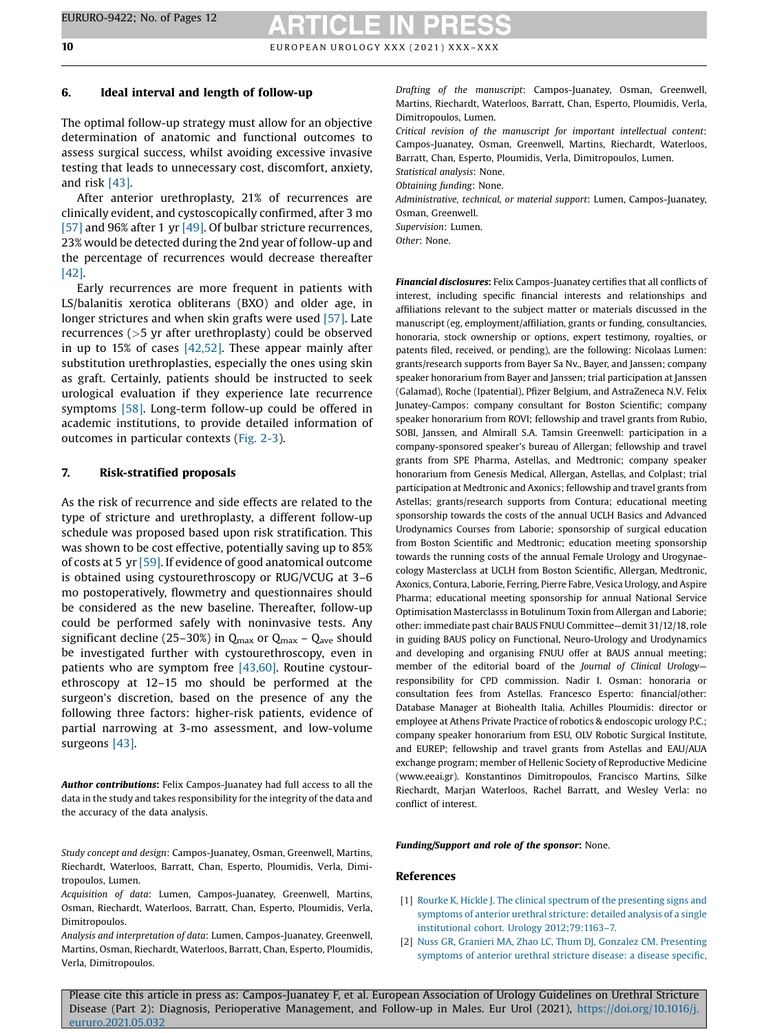### <span id="page-9-0"></span>6. Ideal interval and length of follow-up

The optimal follow-up strategy must allow for an objective determination of anatomic and functional outcomes to assess surgical success, whilst avoiding excessive invasive testing that leads to unnecessary cost, discomfort, anxiety, and risk [\[43\].](#page-11-0)

After anterior urethroplasty, 21% of recurrences are clinically evident, and cystoscopically confirmed, after 3 mo [\[57\]](#page-11-0) and 96% after 1 yr [\[49\].](#page-11-0) Of bulbar stricture recurrences, 23% would be detected during the 2nd year of follow-up and the percentage of recurrences would decrease thereafter [\[42\].](#page-10-0)

Early recurrences are more frequent in patients with LS/balanitis xerotica obliterans (BXO) and older age, in longer strictures and when skin grafts were used [\[57\]](#page-11-0). Late recurrences (>5 yr after urethroplasty) could be observed in up to 15% of cases [\[42,52\]](#page-10-0). These appear mainly after substitution urethroplasties, especially the ones using skin as graft. Certainly, patients should be instructed to seek urological evaluation if they experience late recurrence symptoms [\[58\].](#page-11-0) Long-term follow-up could be offered in academic institutions, to provide detailed information of outcomes in particular contexts [\(Fig.](#page-5-0) 2-3).

### 7. Risk-stratified proposals

As the risk of recurrence and side effects are related to the type of stricture and urethroplasty, a different follow-up schedule was proposed based upon risk stratification. This was shown to be cost effective, potentially saving up to 85% of costs at 5 yr [\[59\].](#page-11-0) If evidence of good anatomical outcome is obtained using cystourethroscopy or RUG/VCUG at 3–6 mo postoperatively, flowmetry and questionnaires should be considered as the new baseline. Thereafter, follow-up could be performed safely with noninvasive tests. Any significant decline (25–30%) in  $Q_{\text{max}}$  or  $Q_{\text{max}}$  –  $Q_{\text{ave}}$  should be investigated further with cystourethroscopy, even in patients who are symptom free [\[43,60\]](#page-11-0). Routine cystourethroscopy at 12–15 mo should be performed at the surgeon's discretion, based on the presence of any the following three factors: higher-risk patients, evidence of partial narrowing at 3-mo assessment, and low-volume surgeons [\[43\]](#page-11-0).

Author contributions: Felix Campos-Juanatey had full access to all the data in the study and takes responsibility for the integrity of the data and the accuracy of the data analysis.

Study concept and design: Campos-Juanatey, Osman, Greenwell, Martins, Riechardt, Waterloos, Barratt, Chan, Esperto, Ploumidis, Verla, Dimitropoulos, Lumen.

Acquisition of data: Lumen, Campos-Juanatey, Greenwell, Martins, Osman, Riechardt, Waterloos, Barratt, Chan, Esperto, Ploumidis, Verla, Dimitropoulos.

Analysis and interpretation of data: Lumen, Campos-Juanatey, Greenwell, Martins, Osman, Riechardt, Waterloos, Barratt, Chan, Esperto, Ploumidis, Verla, Dimitropoulos.

Drafting of the manuscript: Campos-Juanatey, Osman, Greenwell, Martins, Riechardt, Waterloos, Barratt, Chan, Esperto, Ploumidis, Verla, Dimitropoulos, Lumen.

Critical revision of the manuscript for important intellectual content: Campos-Juanatey, Osman, Greenwell, Martins, Riechardt, Waterloos, Barratt, Chan, Esperto, Ploumidis, Verla, Dimitropoulos, Lumen.

Statistical analysis: None.

Obtaining funding: None.

Administrative, technical, or material support: Lumen, Campos-Juanatey, Osman, Greenwell. Supervision: Lumen.

Other: None.

Financial disclosures: Felix Campos-Juanatey certifies that all conflicts of interest, including specific financial interests and relationships and affiliations relevant to the subject matter or materials discussed in the manuscript (eg, employment/affiliation, grants or funding, consultancies, honoraria, stock ownership or options, expert testimony, royalties, or patents filed, received, or pending), are the following: Nicolaas Lumen: grants/research supports from Bayer Sa Nv., Bayer, and Janssen; company speaker honorarium from Bayer and Janssen; trial participation at Janssen (Galamad), Roche (Ipatential), Pfizer Belgium, and AstraZeneca N.V. Felix Junatey-Campos: company consultant for Boston Scientific; company speaker honorarium from ROVI; fellowship and travel grants from Rubio, SOBI, Janssen, and Almirall S.A. Tamsin Greenwell: participation in a company-sponsored speaker's bureau of Allergan; fellowship and travel grants from SPE Pharma, Astellas, and Medtronic; company speaker honorarium from Genesis Medical, Allergan, Astellas, and Colplast; trial participation at Medtronic and Axonics; fellowship and travel grants from Astellas; grants/research supports from Contura; educational meeting sponsorship towards the costs of the annual UCLH Basics and Advanced Urodynamics Courses from Laborie; sponsorship of surgical education from Boston Scientific and Medtronic; education meeting sponsorship towards the running costs of the annual Female Urology and Urogynaecology Masterclass at UCLH from Boston Scientific, Allergan, Medtronic, Axonics, Contura, Laborie, Ferring, Pierre Fabre, Vesica Urology, and Aspire Pharma; educational meeting sponsorship for annual National Service Optimisation Masterclasss in Botulinum Toxin from Allergan and Laborie; other: immediate past chair BAUS FNUU Committee—demit 31/12/18, role in guiding BAUS policy on Functional, Neuro-Urology and Urodynamics and developing and organising FNUU offer at BAUS annual meeting; member of the editorial board of the Journal of Clinical Urology responsibility for CPD commission. Nadir I. Osman: honoraria or consultation fees from Astellas. Francesco Esperto: financial/other: Database Manager at Biohealth Italia. Achilles Ploumidis: director or employee at Athens Private Practice of robotics & endoscopic urology P.C.; company speaker honorarium from ESU, OLV Robotic Surgical Institute, and EUREP; fellowship and travel grants from Astellas and EAU/AUA exchange program; member of Hellenic Society of Reproductive Medicine (www.eeai.gr). Konstantinos Dimitropoulos, Francisco Martins, Silke Riechardt, Marjan Waterloos, Rachel Barratt, and Wesley Verla: no conflict of interest.

Funding/Support and role of the sponsor: None.

### References

- [1] Rourke K, Hickle J. The clinical spectrum of the [presenting](http://refhub.elsevier.com/S0302-2838(21)01801-7/sbref0005) signs and [symptoms](http://refhub.elsevier.com/S0302-2838(21)01801-7/sbref0005) of anterior urethral stricture: detailed analysis of a single institutional cohort. Urology [2012;79:1163](http://refhub.elsevier.com/S0302-2838(21)01801-7/sbref0005)–7.
- [2] Nuss GR, Granieri MA, Zhao LC, Thum DJ, Gonzalez CM. [Presenting](http://refhub.elsevier.com/S0302-2838(21)01801-7/sbref0010) [symptoms](http://refhub.elsevier.com/S0302-2838(21)01801-7/sbref0010) of anterior urethral stricture disease: a disease specific,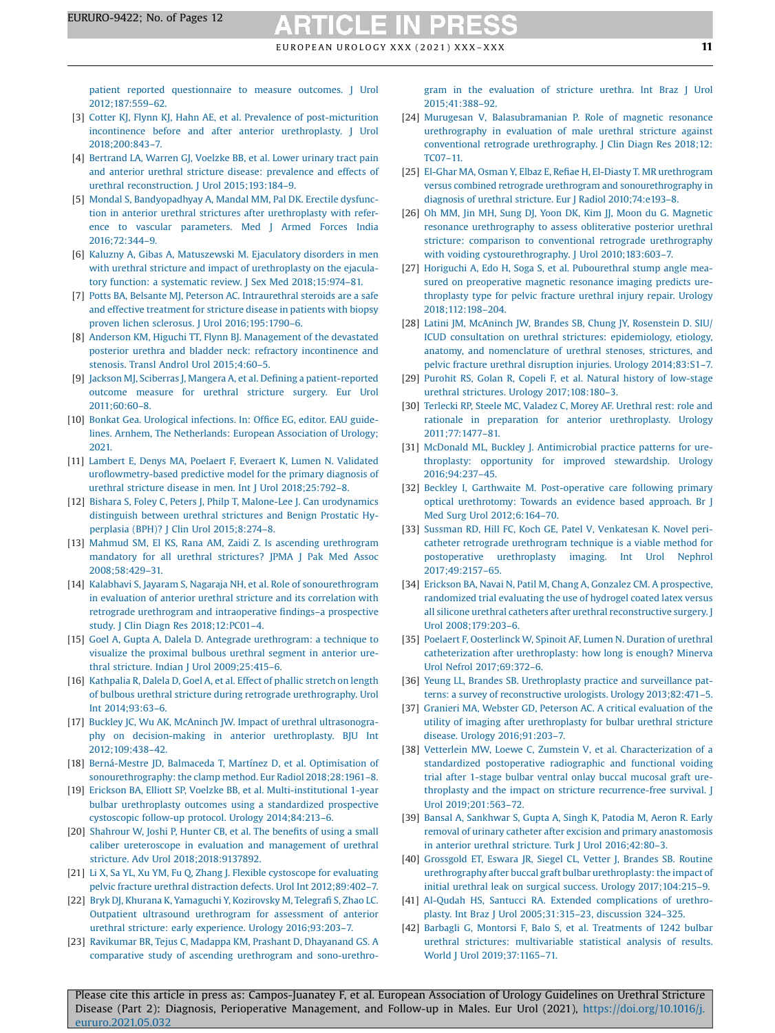<span id="page-10-0"></span>patient reported [questionnaire](http://refhub.elsevier.com/S0302-2838(21)01801-7/sbref0010) to measure outcomes. J Urol [2012;187:559](http://refhub.elsevier.com/S0302-2838(21)01801-7/sbref0010)–62.

- [3] Cotter KJ, Flynn KJ, Hahn AE, et al. Prevalence of [post-micturition](http://refhub.elsevier.com/S0302-2838(21)01801-7/sbref0015) incontinence before and after anterior [urethroplasty.](http://refhub.elsevier.com/S0302-2838(21)01801-7/sbref0015) J Urol [2018;200:843](http://refhub.elsevier.com/S0302-2838(21)01801-7/sbref0015)–7.
- [4] [Bertrand](http://refhub.elsevier.com/S0302-2838(21)01801-7/sbref0020) LA, Warren GJ, Voelzke BB, et al. Lower urinary tract pain and anterior urethral stricture disease: [prevalence](http://refhub.elsevier.com/S0302-2838(21)01801-7/sbref0020) and effects of urethral [reconstruction.](http://refhub.elsevier.com/S0302-2838(21)01801-7/sbref0020) J Urol 2015;193:184–9.
- [5] Mondal S, [Bandyopadhyay](http://refhub.elsevier.com/S0302-2838(21)01801-7/sbref0025) A, Mandal MM, Pal DK. Erectile dysfunction in anterior urethral strictures after [urethroplasty](http://refhub.elsevier.com/S0302-2838(21)01801-7/sbref0025) with reference to vascular [parameters.](http://refhub.elsevier.com/S0302-2838(21)01801-7/sbref0025) Med J Armed Forces India [2016;72:344](http://refhub.elsevier.com/S0302-2838(21)01801-7/sbref0025)–9.
- [6] Kaluzny A, Gibas A, [Matuszewski](http://refhub.elsevier.com/S0302-2838(21)01801-7/sbref0030) M. Ejaculatory disorders in men with urethral stricture and impact of [urethroplasty](http://refhub.elsevier.com/S0302-2838(21)01801-7/sbref0030) on the ejacula-tory function: a systematic review. J Sex Med [2018;15:974](http://refhub.elsevier.com/S0302-2838(21)01801-7/sbref0030)-81.
- [7] Potts BA, Belsante MJ, Peterson AC. [Intraurethral](http://refhub.elsevier.com/S0302-2838(21)01801-7/sbref0035) steroids are a safe and effective [treatment](http://refhub.elsevier.com/S0302-2838(21)01801-7/sbref0035) for stricture disease in patients with biopsy proven lichen sclerosus. J Urol [2016;195:1790](http://refhub.elsevier.com/S0302-2838(21)01801-7/sbref0035)–6.
- [8] Anderson KM, Higuchi TT, Flynn BJ. [Management](http://refhub.elsevier.com/S0302-2838(21)01801-7/sbref0040) of the devastated posterior urethra and bladder neck: refractory [incontinence](http://refhub.elsevier.com/S0302-2838(21)01801-7/sbref0040) and stenosis. Transl Androl Urol [2015;4:60](http://refhub.elsevier.com/S0302-2838(21)01801-7/sbref0040)–5.
- [9] Jackson MJ, Sciberras J, Mangera A, et al. Defining a [patient-reported](http://refhub.elsevier.com/S0302-2838(21)01801-7/sbref0045) [outcome](http://refhub.elsevier.com/S0302-2838(21)01801-7/sbref0045) measure for urethral stricture surgery. Eur Urol [2011;60:60](http://refhub.elsevier.com/S0302-2838(21)01801-7/sbref0045)–8.
- [10] Bonkat Gea. Urological [infections.](http://refhub.elsevier.com/S0302-2838(21)01801-7/sbref0050) In: Office EG, editor. EAU guidelines. Arnhem, The [Netherlands:](http://refhub.elsevier.com/S0302-2838(21)01801-7/sbref0050) European Association of Urology; [2021.](http://refhub.elsevier.com/S0302-2838(21)01801-7/sbref0050)
- [11] Lambert E, Denys MA, Poelaert F, Everaert K, Lumen N. [Validated](http://refhub.elsevier.com/S0302-2838(21)01801-7/sbref0055) urofl[owmetry-based](http://refhub.elsevier.com/S0302-2838(21)01801-7/sbref0055) predictive model for the primary diagnosis of urethral stricture disease in men. Int J Urol [2018;25:792](http://refhub.elsevier.com/S0302-2838(21)01801-7/sbref0055)–8.
- [12] Bishara S, Foley C, Peters J, Philp T, Malone-Lee J. Can [urodynamics](http://refhub.elsevier.com/S0302-2838(21)01801-7/sbref0060) [distinguish](http://refhub.elsevier.com/S0302-2838(21)01801-7/sbref0060) between urethral strictures and Benign Prostatic Hyperplasia (BPH)? J Clin Urol [2015;8:274](http://refhub.elsevier.com/S0302-2838(21)01801-7/sbref0060)–8.
- [13] Mahmud SM, El KS, Rana AM, Zaidi Z. Is ascending [urethrogram](http://refhub.elsevier.com/S0302-2838(21)01801-7/sbref0065) [mandatory](http://refhub.elsevier.com/S0302-2838(21)01801-7/sbref0065) for all urethral strictures? JPMA J Pak Med Assoc [2008;58:429](http://refhub.elsevier.com/S0302-2838(21)01801-7/sbref0065)–31.
- [14] Kalabhavi S, Jayaram S, Nagaraja NH, et al. Role of [sonourethrogram](http://refhub.elsevier.com/S0302-2838(21)01801-7/sbref0070) in evaluation of anterior urethral stricture and its [correlation](http://refhub.elsevier.com/S0302-2838(21)01801-7/sbref0070) with retrograde urethrogram and [intraoperative](http://refhub.elsevier.com/S0302-2838(21)01801-7/sbref0070) findings–a prospective study. J Clin Diagn Res [2018;12:PC01](http://refhub.elsevier.com/S0302-2838(21)01801-7/sbref0070)–4.
- [15] Goel A, Gupta A, Dalela D. Antegrade [urethrogram:](http://refhub.elsevier.com/S0302-2838(21)01801-7/sbref0075) a technique to visualize the [proximal](http://refhub.elsevier.com/S0302-2838(21)01801-7/sbref0075) bulbous urethral segment in anterior urethral stricture. Indian J Urol [2009;25:415](http://refhub.elsevier.com/S0302-2838(21)01801-7/sbref0075)–6.
- [16] [Kathpalia](http://refhub.elsevier.com/S0302-2838(21)01801-7/sbref0080) R, Dalela D, Goel A, et al. Effect of phallic stretch on length of bulbous urethral stricture during retrograde [urethrography.](http://refhub.elsevier.com/S0302-2838(21)01801-7/sbref0080) Urol Int [2014;93:63](http://refhub.elsevier.com/S0302-2838(21)01801-7/sbref0080)–6.
- [17] Buckley JC, Wu AK, McAninch JW. Impact of urethral [ultrasonogra](http://refhub.elsevier.com/S0302-2838(21)01801-7/sbref0085)phy on [decision-making](http://refhub.elsevier.com/S0302-2838(21)01801-7/sbref0085) in anterior urethroplasty. BJU Int [2012;109:438](http://refhub.elsevier.com/S0302-2838(21)01801-7/sbref0085)–42.
- [18] [Berná-Mestre](http://refhub.elsevier.com/S0302-2838(21)01801-7/sbref0090) JD, Balmaceda T, Martínez D, et al. Optimisation of sonourethrography: the clamp method. Eur Radiol 2018;28:1961-8.
- [19] Erickson BA, Elliott SP, Voelzke BB, et al. [Multi-institutional](http://refhub.elsevier.com/S0302-2838(21)01801-7/sbref0095) 1-year bulbar [urethroplasty](http://refhub.elsevier.com/S0302-2838(21)01801-7/sbref0095) outcomes using a standardized prospective cystoscopic follow-up protocol. Urology [2014;84:213](http://refhub.elsevier.com/S0302-2838(21)01801-7/sbref0095)–6.
- [20] [Shahrour](http://refhub.elsevier.com/S0302-2838(21)01801-7/sbref0100) W, Joshi P, Hunter CB, et al. The benefits of using a small caliber ureteroscope in evaluation and [management](http://refhub.elsevier.com/S0302-2838(21)01801-7/sbref0100) of urethral stricture. Adv Urol [2018;2018:9137892](http://refhub.elsevier.com/S0302-2838(21)01801-7/sbref0100).
- [21] Li X, Sa YL, Xu YM, Fu Q, Zhang J. Flexible [cystoscope](http://refhub.elsevier.com/S0302-2838(21)01801-7/sbref0105) for evaluating pelvic fracture urethral distraction defects. Urol Int [2012;89:402](http://refhub.elsevier.com/S0302-2838(21)01801-7/sbref0105)–7.
- [22] Bryk DJ, Khurana K, Yamaguchi Y, [Kozirovsky](http://refhub.elsevier.com/S0302-2838(21)01801-7/sbref0110) M, Telegrafi S, Zhao LC. Outpatient ultrasound [urethrogram](http://refhub.elsevier.com/S0302-2838(21)01801-7/sbref0110) for assessment of anterior urethral stricture: early experience. Urology [2016;93:203](http://refhub.elsevier.com/S0302-2838(21)01801-7/sbref0110)–7.
- [23] Ravikumar BR, Tejus C, Madappa KM, Prashant D, [Dhayanand](http://refhub.elsevier.com/S0302-2838(21)01801-7/sbref0115) GS. A comparative study of ascending urethrogram and [sono-urethro-](http://refhub.elsevier.com/S0302-2838(21)01801-7/sbref0115)

gram in the [evaluation](http://refhub.elsevier.com/S0302-2838(21)01801-7/sbref0115) of stricture urethra. Int Braz J Urol [2015;41:388](http://refhub.elsevier.com/S0302-2838(21)01801-7/sbref0115)–92.

- [24] Murugesan V, [Balasubramanian](http://refhub.elsevier.com/S0302-2838(21)01801-7/sbref0120) P. Role of magnetic resonance [urethrography](http://refhub.elsevier.com/S0302-2838(21)01801-7/sbref0120) in evaluation of male urethral stricture against conventional retrograde [urethrography.](http://refhub.elsevier.com/S0302-2838(21)01801-7/sbref0120) J Clin Diagn Res 2018;12: [TC07](http://refhub.elsevier.com/S0302-2838(21)01801-7/sbref0120)–11.
- [25] El-Ghar MA, Osman Y, Elbaz E, Refiae H, El-Diasty T. MR [urethrogram](http://refhub.elsevier.com/S0302-2838(21)01801-7/sbref0125) versus combined retrograde urethrogram and [sonourethrography](http://refhub.elsevier.com/S0302-2838(21)01801-7/sbref0125) in diagnosis of urethral stricture. Eur J Radiol [2010;74:e193](http://refhub.elsevier.com/S0302-2838(21)01801-7/sbref0125)–8.
- [26] Oh MM, Jin MH, Sung DJ, Yoon DK, Kim JJ, Moon du G. [Magnetic](http://refhub.elsevier.com/S0302-2838(21)01801-7/sbref0130) resonance [urethrography](http://refhub.elsevier.com/S0302-2838(21)01801-7/sbref0130) to assess obliterative posterior urethral stricture: comparison to conventional retrograde [urethrography](http://refhub.elsevier.com/S0302-2838(21)01801-7/sbref0130) with voiding [cystourethrography.](http://refhub.elsevier.com/S0302-2838(21)01801-7/sbref0130) J Urol 2010;183:603-7.
- [27] Horiguchi A, Edo H, Soga S, et al. [Pubourethral](http://refhub.elsevier.com/S0302-2838(21)01801-7/sbref0135) stump angle measured on [preoperative](http://refhub.elsevier.com/S0302-2838(21)01801-7/sbref0135) magnetic resonance imaging predicts ure[throplasty](http://refhub.elsevier.com/S0302-2838(21)01801-7/sbref0135) type for pelvic fracture urethral injury repair. Urology [2018;112:198](http://refhub.elsevier.com/S0302-2838(21)01801-7/sbref0135)–204.
- [28] Latini JM, McAninch JW, Brandes SB, Chung JY, [Rosenstein](http://refhub.elsevier.com/S0302-2838(21)01801-7/sbref0140) D. SIU/ ICUD consultation on urethral strictures: [epidemiology,](http://refhub.elsevier.com/S0302-2838(21)01801-7/sbref0140) etiology, anatomy, and [nomenclature](http://refhub.elsevier.com/S0302-2838(21)01801-7/sbref0140) of urethral stenoses, strictures, and pelvic fracture urethral disruption injuries. Urology [2014;83:S1](http://refhub.elsevier.com/S0302-2838(21)01801-7/sbref0140)–7.
- [29] Purohit RS, Golan R, Copeli F, et al. Natural history of [low-stage](http://refhub.elsevier.com/S0302-2838(21)01801-7/sbref0145) urethral strictures. Urology [2017;108:180](http://refhub.elsevier.com/S0302-2838(21)01801-7/sbref0145)–3.
- [30] Terlecki RP, Steele MC, Valadez C, Morey AF. [Urethral](http://refhub.elsevier.com/S0302-2838(21)01801-7/sbref0150) rest: role and rationale in preparation for anterior [urethroplasty.](http://refhub.elsevier.com/S0302-2838(21)01801-7/sbref0150) Urology [2011;77:1477](http://refhub.elsevier.com/S0302-2838(21)01801-7/sbref0150)–81.
- [31] McDonald ML, Buckley J. [Antimicrobial](http://refhub.elsevier.com/S0302-2838(21)01801-7/sbref0155) practice patterns for urethroplasty: opportunity for improved [stewardship.](http://refhub.elsevier.com/S0302-2838(21)01801-7/sbref0155) Urology [2016;94:237](http://refhub.elsevier.com/S0302-2838(21)01801-7/sbref0155)–45.
- [32] Beckley I, Garthwaite M. [Post-operative](http://refhub.elsevier.com/S0302-2838(21)01801-7/sbref0160) care following primary optical [urethrotomy:](http://refhub.elsevier.com/S0302-2838(21)01801-7/sbref0160) Towards an evidence based approach. Br J Med Surg Urol [2012;6:164](http://refhub.elsevier.com/S0302-2838(21)01801-7/sbref0160)–70.
- [33] Sussman RD, Hill FC, Koch GE, Patel V, [Venkatesan](http://refhub.elsevier.com/S0302-2838(21)01801-7/sbref0165) K. Novel pericatheter retrograde [urethrogram](http://refhub.elsevier.com/S0302-2838(21)01801-7/sbref0165) technique is a viable method for [postoperative](http://refhub.elsevier.com/S0302-2838(21)01801-7/sbref0165) urethroplasty imaging. Int Urol Nephrol [2017;49:2157](http://refhub.elsevier.com/S0302-2838(21)01801-7/sbref0165)–65.
- [34] Erickson BA, Navai N, Patil M, Chang A, Gonzalez CM. A [prospective,](http://refhub.elsevier.com/S0302-2838(21)01801-7/sbref0170) [randomized](http://refhub.elsevier.com/S0302-2838(21)01801-7/sbref0170) trial evaluating the use of hydrogel coated latex versus all silicone urethral catheters after urethral [reconstructive](http://refhub.elsevier.com/S0302-2838(21)01801-7/sbref0170) surgery. J Urol [2008;179:203](http://refhub.elsevier.com/S0302-2838(21)01801-7/sbref0170)–6.
- [35] Poelaert F, [Oosterlinck](http://refhub.elsevier.com/S0302-2838(21)01801-7/sbref0175) W, Spinoit AF, Lumen N. Duration of urethral [catheterization](http://refhub.elsevier.com/S0302-2838(21)01801-7/sbref0175) after urethroplasty: how long is enough? Minerva Urol Nefrol [2017;69:372](http://refhub.elsevier.com/S0302-2838(21)01801-7/sbref0175)–6.
- [36] Yeung LL, Brandes SB. [Urethroplasty](http://refhub.elsevier.com/S0302-2838(21)01801-7/sbref0180) practice and surveillance patterns: a survey of [reconstructive](http://refhub.elsevier.com/S0302-2838(21)01801-7/sbref0180) urologists. Urology 2013;82:471–5.
- [37] Granieri MA, Webster GD, Peterson AC. A critical [evaluation](http://refhub.elsevier.com/S0302-2838(21)01801-7/sbref0185) of the utility of imaging after [urethroplasty](http://refhub.elsevier.com/S0302-2838(21)01801-7/sbref0185) for bulbar urethral stricture disease. Urology [2016;91:203](http://refhub.elsevier.com/S0302-2838(21)01801-7/sbref0185)–7.
- [38] Vetterlein MW, Loewe C, Zumstein V, et al. [Characterization](http://refhub.elsevier.com/S0302-2838(21)01801-7/sbref0190) of a standardized [postoperative](http://refhub.elsevier.com/S0302-2838(21)01801-7/sbref0190) radiographic and functional voiding trial after 1-stage bulbar ventral onlay buccal [mucosal](http://refhub.elsevier.com/S0302-2838(21)01801-7/sbref0190) graft urethroplasty and the impact on stricture [recurrence-free](http://refhub.elsevier.com/S0302-2838(21)01801-7/sbref0190) survival. J Urol [2019;201:563](http://refhub.elsevier.com/S0302-2838(21)01801-7/sbref0190)–72.
- [39] Bansal A, [Sankhwar](http://refhub.elsevier.com/S0302-2838(21)01801-7/sbref0195) S, Gupta A, Singh K, Patodia M, Aeron R. Early removal of urinary catheter after excision and primary [anastomosis](http://refhub.elsevier.com/S0302-2838(21)01801-7/sbref0195) in anterior urethral stricture. Turk J Urol [2016;42:80](http://refhub.elsevier.com/S0302-2838(21)01801-7/sbref0195)–3.
- [40] [Grossgold](http://refhub.elsevier.com/S0302-2838(21)01801-7/sbref0200) ET, Eswara JR, Siegel CL, Vetter J, Brandes SB. Routine urethrography after buccal graft bulbar urethroplasty: the impact of initial urethral leak on surgical success. Urology [2017;104:215](http://refhub.elsevier.com/S0302-2838(21)01801-7/sbref0200)–9.
- [41] Al-Qudah HS, Santucci RA. Extended [complications](http://refhub.elsevier.com/S0302-2838(21)01801-7/sbref0205) of urethroplasty. Int Braz J Urol [2005;31:315](http://refhub.elsevier.com/S0302-2838(21)01801-7/sbref0205)–23, discussion 324–325.
- [42] Barbagli G, Montorsi F, Balo S, et al. [Treatments](http://refhub.elsevier.com/S0302-2838(21)01801-7/sbref0210) of 1242 bulbar urethral strictures: [multivariable](http://refhub.elsevier.com/S0302-2838(21)01801-7/sbref0210) statistical analysis of results. World J Urol [2019;37:1165](http://refhub.elsevier.com/S0302-2838(21)01801-7/sbref0210)–71.